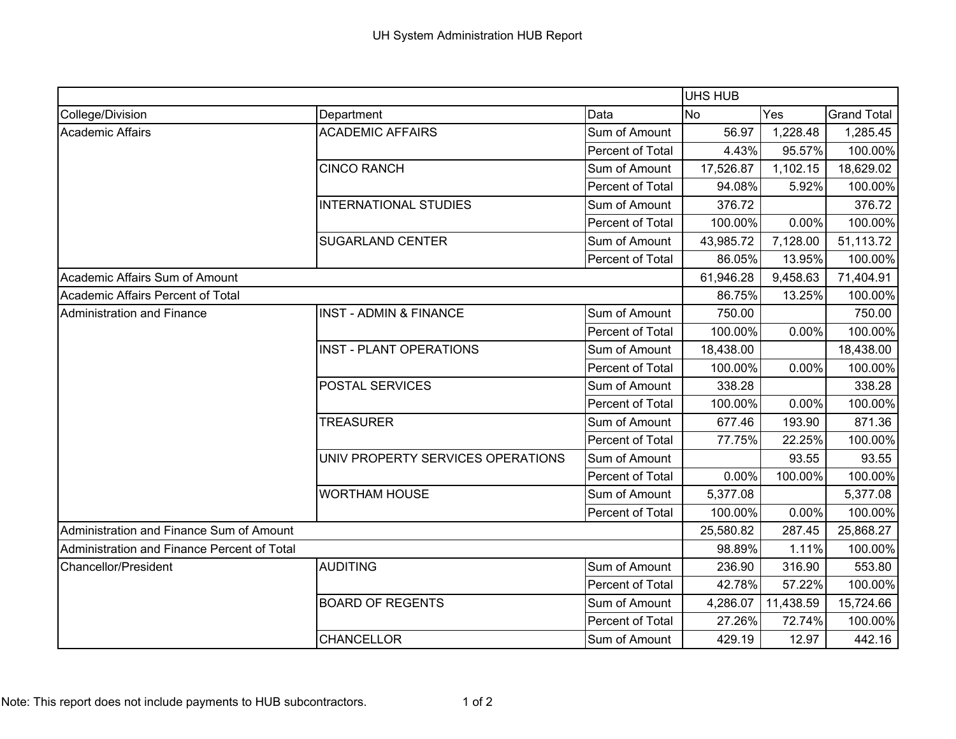|                                             |                                   |                  | <b>UHS HUB</b> |           |                    |
|---------------------------------------------|-----------------------------------|------------------|----------------|-----------|--------------------|
| College/Division                            | Department                        | Data             | <b>No</b>      | Yes       | <b>Grand Total</b> |
| <b>Academic Affairs</b>                     | <b>ACADEMIC AFFAIRS</b>           | Sum of Amount    | 56.97          | 1,228.48  | 1,285.45           |
|                                             |                                   | Percent of Total | 4.43%          | 95.57%    | 100.00%            |
|                                             | <b>CINCO RANCH</b>                | Sum of Amount    | 17,526.87      | 1,102.15  | 18,629.02          |
|                                             |                                   | Percent of Total | 94.08%         | 5.92%     | 100.00%            |
|                                             | <b>INTERNATIONAL STUDIES</b>      | Sum of Amount    | 376.72         |           | 376.72             |
|                                             |                                   | Percent of Total | 100.00%        | 0.00%     | 100.00%            |
|                                             | <b>SUGARLAND CENTER</b>           | Sum of Amount    | 43,985.72      | 7,128.00  | 51,113.72          |
|                                             |                                   | Percent of Total | 86.05%         | 13.95%    | 100.00%            |
| Academic Affairs Sum of Amount              |                                   |                  | 61,946.28      | 9,458.63  | 71,404.91          |
| Academic Affairs Percent of Total           |                                   |                  | 86.75%         | 13.25%    | 100.00%            |
| Administration and Finance                  | <b>INST - ADMIN &amp; FINANCE</b> | Sum of Amount    | 750.00         |           | 750.00             |
|                                             |                                   | Percent of Total | 100.00%        | 0.00%     | 100.00%            |
|                                             | <b>INST - PLANT OPERATIONS</b>    | Sum of Amount    | 18,438.00      |           | 18,438.00          |
|                                             |                                   | Percent of Total | 100.00%        | 0.00%     | 100.00%            |
|                                             | POSTAL SERVICES                   | Sum of Amount    | 338.28         |           | 338.28             |
|                                             |                                   | Percent of Total | 100.00%        | 0.00%     | 100.00%            |
|                                             | <b>TREASURER</b>                  | Sum of Amount    | 677.46         | 193.90    | 871.36             |
|                                             |                                   | Percent of Total | 77.75%         | 22.25%    | 100.00%            |
|                                             | UNIV PROPERTY SERVICES OPERATIONS | Sum of Amount    |                | 93.55     | 93.55              |
|                                             |                                   | Percent of Total | 0.00%          | 100.00%   | 100.00%            |
|                                             | <b>WORTHAM HOUSE</b>              | Sum of Amount    | 5,377.08       |           | 5,377.08           |
|                                             |                                   | Percent of Total | 100.00%        | 0.00%     | 100.00%            |
| Administration and Finance Sum of Amount    |                                   |                  | 25,580.82      | 287.45    | 25,868.27          |
| Administration and Finance Percent of Total |                                   |                  | 98.89%         | 1.11%     | 100.00%            |
| Chancellor/President                        | <b>AUDITING</b>                   | Sum of Amount    | 236.90         | 316.90    | 553.80             |
|                                             |                                   | Percent of Total | 42.78%         | 57.22%    | 100.00%            |
|                                             | <b>BOARD OF REGENTS</b>           | Sum of Amount    | 4,286.07       | 11,438.59 | 15,724.66          |
|                                             |                                   | Percent of Total | 27.26%         | 72.74%    | 100.00%            |
|                                             | <b>CHANCELLOR</b>                 | Sum of Amount    | 429.19         | 12.97     | 442.16             |